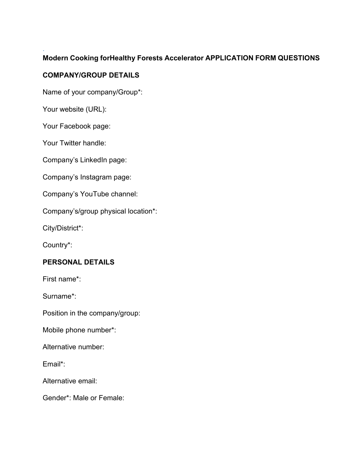## Modern Cooking forHealthy Forests Accelerator APPLICATION FORM QUESTIONS

### COMPANY/GROUP DETAILS

Name of your company/Group\*:

Your website (URL):

.

Your Facebook page:

Your Twitter handle:

Company's LinkedIn page:

Company's Instagram page:

Company's YouTube channel:

Company's/group physical location\*:

City/District\*:

Country\*:

### PERSONAL DETAILS

First name\*:

Surname\*:

Position in the company/group:

Mobile phone number\*:

Alternative number:

Email\*:

Alternative email:

Gender\*: Male or Female: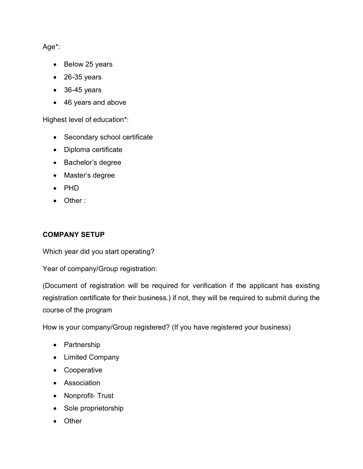Age\*:

- Below 25 years
- $\bullet$  26-35 years
- 36-45 years
- 46 years and above

Highest level of education\*:

- Secondary school certificate
- Diploma certificate
- Bachelor's degree
- Master's degree
- PHD
- Other :

# COMPANY SETUP

Which year did you start operating?

Year of company/Group registration:

(Document of registration will be required for verification if the applicant has existing registration certificate for their business.) if not, they will be required to submit during the course of the program

How is your company/Group registered? (If you have registered your business)

- Partnership
- Limited Company
- Cooperative
- Association
- Nonprofit- Trust
- Sole proprietorship
- Other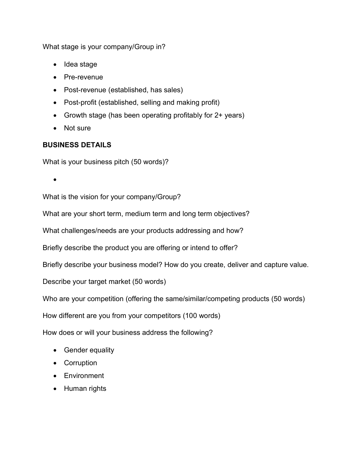What stage is your company/Group in?

- Idea stage
- Pre-revenue
- Post-revenue (established, has sales)
- Post-profit (established, selling and making profit)
- Growth stage (has been operating profitably for 2+ years)
- Not sure

## BUSINESS DETAILS

What is your business pitch (50 words)?

 $\bullet$ 

What is the vision for your company/Group?

What are your short term, medium term and long term objectives?

What challenges/needs are your products addressing and how?

Briefly describe the product you are offering or intend to offer?

Briefly describe your business model? How do you create, deliver and capture value.

Describe your target market (50 words)

Who are your competition (offering the same/similar/competing products (50 words)

How different are you from your competitors (100 words)

How does or will your business address the following?

- Gender equality
- Corruption
- **•** Environment
- Human rights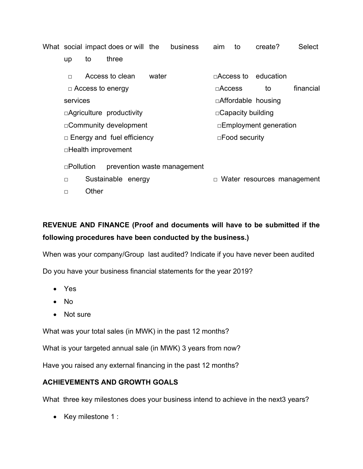What social impact does or will the business aim to create? Select

up to three

□ Access to clean water □ □Access to education □ Access to energy interest and secretary interest and secretary interest and secretary interest and secretary interest and secretary interest and secretary interest and secretary interest and secretary interest and secre services □Affordable housing □Agriculture productivity □Capacity building □Community development □
□Employment generation □ Energy and fuel efficiency □Food security □Health improvement □Pollution prevention waste management □ Sustainable energy □ □ Water resources management □ Other

# REVENUE AND FINANCE (Proof and documents will have to be submitted if the following procedures have been conducted by the business.)

When was your company/Group last audited? Indicate if you have never been audited

Do you have your business financial statements for the year 2019?

- Yes
- No
- Not sure

What was your total sales (in MWK) in the past 12 months?

What is your targeted annual sale (in MWK) 3 years from now?

Have you raised any external financing in the past 12 months?

### ACHIEVEMENTS AND GROWTH GOALS

What three key milestones does your business intend to achieve in the next3 years?

• Key milestone 1 :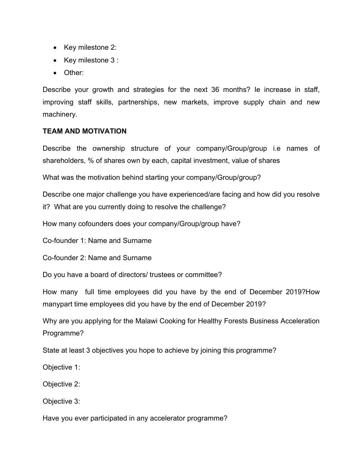- Key milestone 2:
- Key milestone 3 :
- Other:

Describe your growth and strategies for the next 36 months? Ie increase in staff, improving staff skills, partnerships, new markets, improve supply chain and new machinery.

#### TEAM AND MOTIVATION

Describe the ownership structure of your company/Group/group i.e names of shareholders, % of shares own by each, capital investment, value of shares

What was the motivation behind starting your company/Group/group?

Describe one major challenge you have experienced/are facing and how did you resolve it? What are you currently doing to resolve the challenge?

How many cofounders does your company/Group/group have?

Co-founder 1: Name and Surname

Co-founder 2: Name and Surname

Do you have a board of directors/ trustees or committee?

How many full time employees did you have by the end of December 2019?How manypart time employees did you have by the end of December 2019?

Why are you applying for the Malawi Cooking for Healthy Forests Business Acceleration Programme?

State at least 3 objectives you hope to achieve by joining this programme?

Objective 1:

Objective 2:

Objective 3:

Have you ever participated in any accelerator programme?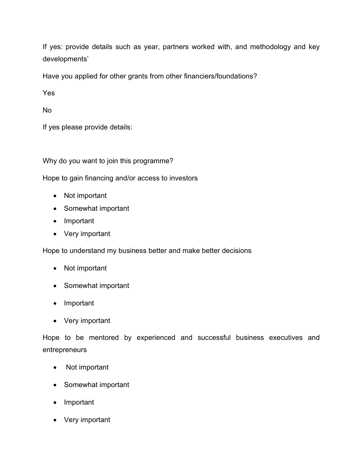If yes: provide details such as year, partners worked with, and methodology and key developments'

Have you applied for other grants from other financiers/foundations?

Yes

No

If yes please provide details:

Why do you want to join this programme?

Hope to gain financing and/or access to investors

- Not important
- Somewhat important
- Important
- Very important

Hope to understand my business better and make better decisions

- Not important
- Somewhat important
- Important
- Very important

Hope to be mentored by experienced and successful business executives and entrepreneurs

- Not important
- Somewhat important
- Important
- Very important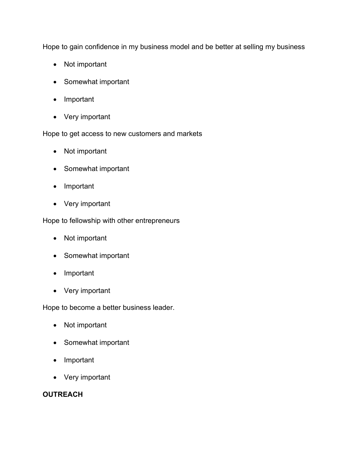Hope to gain confidence in my business model and be better at selling my business

- Not important
- Somewhat important
- Important
- Very important

Hope to get access to new customers and markets

- Not important
- Somewhat important
- Important
- Very important

Hope to fellowship with other entrepreneurs

- Not important
- Somewhat important
- Important
- Very important

Hope to become a better business leader.

- Not important
- Somewhat important
- Important
- Very important

### **OUTREACH**